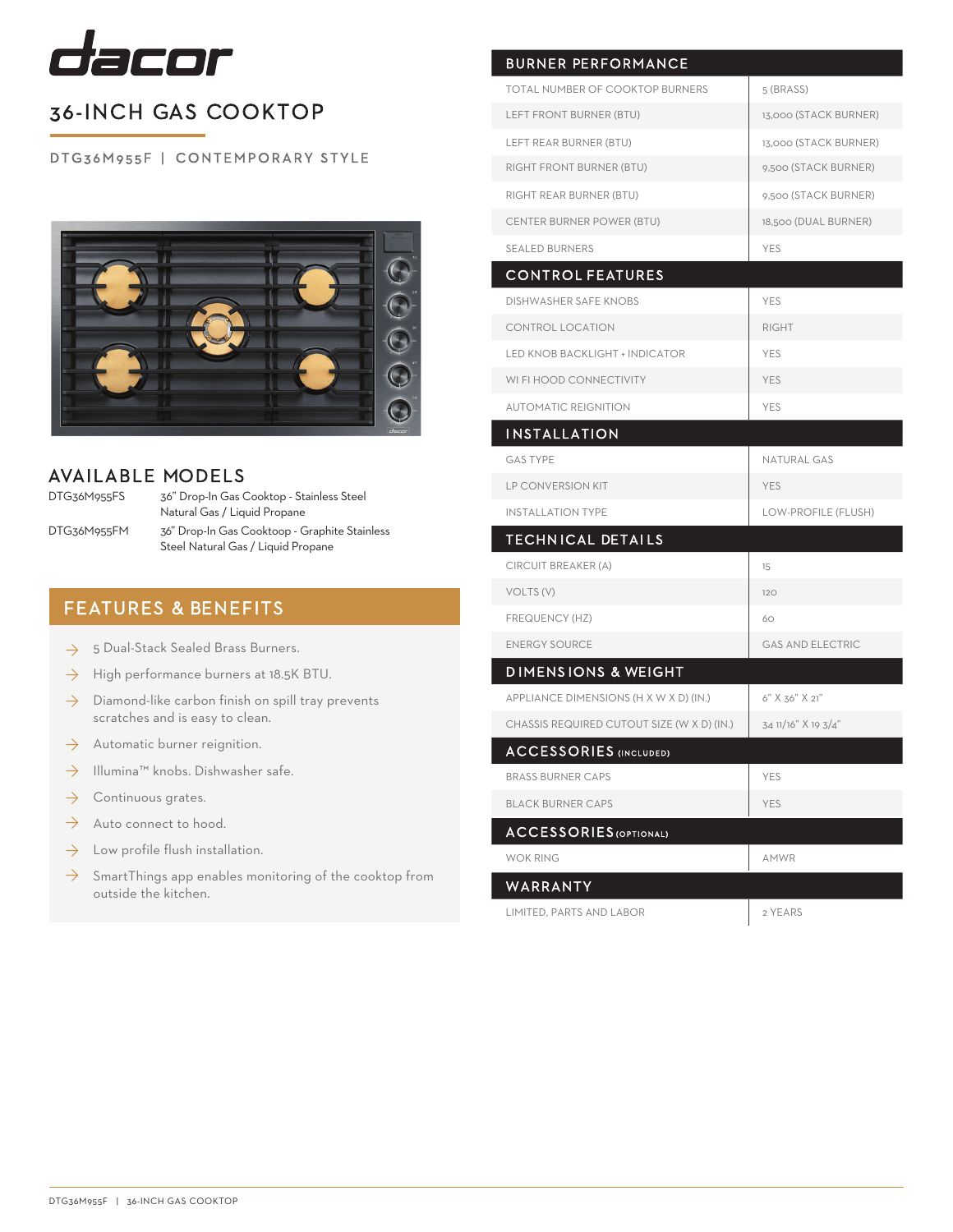

## 36-INCH GAS COOKTOP

DTG36M955F | CONTEMPORARY STYLE



#### AVAILABLE MODELS

DTG36M955FS

DTG36M955FM

36" Drop-In Gas Cooktop - Stainless Steel Natural Gas / Liquid Propane 36" Drop-In Gas Cooktoop - Graphite Stainless Steel Natural Gas / Liquid Propane

### FEATURES & BENEFITS

- $\rightarrow$  5 Dual-Stack Sealed Brass Burners.
- High performance burners at 18.5K BTU. ◊
- Diamond-like carbon finish on spill tray prevents scratches and is easy to clean. ◊
- Automatic burner reignition. ◊
- Illumina™ knobs. Dishwasher safe. ◊
- Continuous grates. ◊
- Auto connect to hood. ◊
- Low profile flush installation. ◊
- $\rightarrow$  SmartThings app enables monitoring of the cooktop from outside the kitchen.

| <b>BURNER PERFORMANCE</b>                  |                         |
|--------------------------------------------|-------------------------|
| <b>TOTAL NUMBER OF COOKTOP BURNERS</b>     | 5 (BRASS)               |
| LEFT FRONT BURNER (BTU)                    | 13,000 (STACK BURNER)   |
| LEFT REAR BURNER (BTU)                     | 13,000 (STACK BURNER)   |
| RIGHT FRONT BURNER (BTU)                   | 9,500 (STACK BURNER)    |
| RIGHT REAR BURNER (BTU)                    | 9,500 (STACK BURNER)    |
| CENTER BURNER POWER (BTU)                  | 18,500 (DUAL BURNER)    |
| <b>SEALED BURNERS</b>                      | <b>YES</b>              |
| <b>CONTROL FEATURES</b>                    |                         |
| <b>DISHWASHER SAFE KNOBS</b>               | <b>YES</b>              |
| CONTROL LOCATION                           | <b>RIGHT</b>            |
| LED KNOB BACKLIGHT + INDICATOR             | YES                     |
| WI FI HOOD CONNECTIVITY                    | <b>YES</b>              |
| <b>AUTOMATIC REIGNITION</b>                | <b>YES</b>              |
| <b>INSTALLATION</b>                        |                         |
| <b>GAS TYPE</b>                            | <b>NATURAL GAS</b>      |
| <b>LP CONVERSION KIT</b>                   | <b>YES</b>              |
| <b>INSTALLATION TYPE</b>                   | LOW-PROFILE (FLUSH)     |
| <b>TECHNICAL DETAILS</b>                   |                         |
| CIRCUIT BREAKER (A)                        | 15                      |
| VOLTS (V)                                  | 120                     |
| FREQUENCY (HZ)                             | 60                      |
| <b>ENERGY SOURCE</b>                       | <b>GAS AND ELECTRIC</b> |
| <b>DIMENSIONS &amp; WEIGHT</b>             |                         |
| APPLIANCE DIMENSIONS (H X W X D) (IN.)     | 6" X 36" X 21"          |
| CHASSIS REQUIRED CUTOUT SIZE (W X D) (IN.) | 34 11/16" X 19 3/4"     |
| <b>ACCESSORIES</b> (INCLUDED)              |                         |
| <b>BRASS BURNER CAPS</b>                   | YES                     |
| <b>BLACK BURNER CAPS</b>                   | <b>YES</b>              |
| <b>ACCESSORIES</b> (OPTIONAL)              |                         |
| <b>WOK RING</b>                            | AMWR                    |
| WARRANTY                                   |                         |
| LIMITED, PARTS AND LABOR                   | 2 YEARS                 |